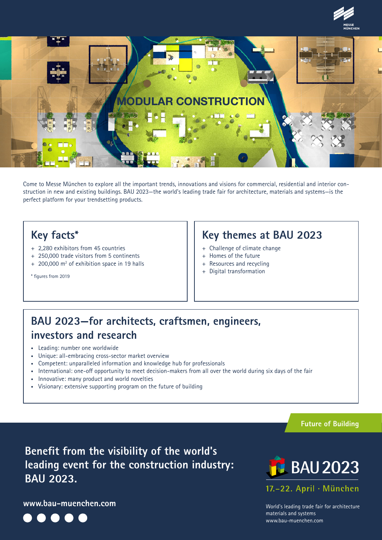



Come to Messe München to explore all the important trends, innovations and visions for commercial, residential and interior construction in new and existing buildings. BAU 2023—the world's leading trade fair for architecture, materials and systems—is the perfect platform for your trendsetting products.

# **Key facts\***

- + 2,280 exhibitors from 45 countries
- + 250,000 trade visitors from 5 continents
- + 200,000 m<sup>2</sup> of exhibition space in 19 halls

# **Key themes at BAU 2023**

- + Challenge of climate change
- + Homes of the future
- + Resources and recycling
- + Digital transformation

\* figures from 2019

# **BAU 2023—for architects, craftsmen, engineers, investors and research**

- Leading: number one worldwide
- Unique: all-embracing cross-sector market overview
- Competent: unparalleled information and knowledge hub for professionals
- International: one-off opportunity to meet decision-makers from all over the world during six days of the fair
- Innovative: many product and world novelties
- Visionary: extensive supporting program on the future of building

**Future of Building**

**Benefit from the visibility of the world's leading event for the construction industry: BAU 2023.**

**www.bau-muenchen.com**





**BAU 2023**